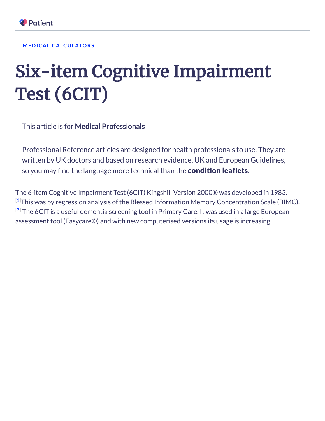

## **MEDICAL [CALCULATORS](https://patient.info/medical-calculators)**

## Six-item Cognitive Impairment Test (6CIT)

This article is for **Medical Professionals**

Professional Reference articles are designed for health professionals to use. They are written by UK doctors and based on research evidence, UK and European Guidelines, so you may find the language more technical than the **[condition](https://patient.info/health) leaflets**.

The 6-item Cognitive Impairment Test (6CIT) Kingshill Version 2000® was developed in 1983.  $^{[1]}$  $^{[1]}$  $^{[1]}$ This was by regression analysis of the Blessed Information Memory Concentration Scale (BIMC).  $^{[2]}$  $^{[2]}$  $^{[2]}$  The 6CIT is a useful dementia screening tool in Primary Care. It was used in a large European assessment tool (Easycare©) and with new computerised versions its usage is increasing.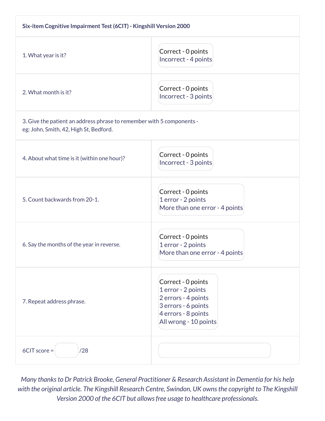| Six-item Cognitive Impairment Test (6CIT) - Kingshill Version 2000                                              |                                                                                                                                        |
|-----------------------------------------------------------------------------------------------------------------|----------------------------------------------------------------------------------------------------------------------------------------|
| 1. What year is it?                                                                                             | Correct - 0 points<br>Incorrect - 4 points                                                                                             |
| 2. What month is it?                                                                                            | Correct - 0 points<br>Incorrect - 3 points                                                                                             |
| 3. Give the patient an address phrase to remember with 5 components -<br>eg: John, Smith, 42, High St, Bedford. |                                                                                                                                        |
| 4. About what time is it (within one hour)?                                                                     | Correct - 0 points<br>Incorrect - 3 points                                                                                             |
| 5. Count backwards from 20-1.                                                                                   | Correct - 0 points<br>1 error - 2 points<br>More than one error - 4 points                                                             |
| 6. Say the months of the year in reverse.                                                                       | Correct - 0 points<br>1 error - 2 points<br>More than one error - 4 points                                                             |
| 7. Repeat address phrase.                                                                                       | Correct - 0 points<br>1 error - 2 points<br>2 errors - 4 points<br>3 errors - 6 points<br>4 errors - 8 points<br>All wrong - 10 points |
| 6CIT score =<br>/28                                                                                             |                                                                                                                                        |

*Many thanksto Dr Patrick Brooke, General Practitioner & Research Assistant in Dementia for his help with the original article. The Kingshill Research Centre, Swindon, UK ownsthe copyright to The Kingshill Version 2000 of the 6CIT but allowsfree usage to healthcare professionals.*